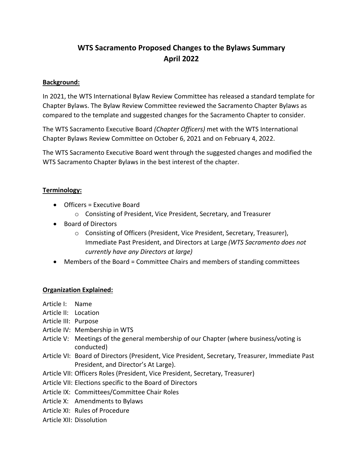# **WTS Sacramento Proposed Changes to the Bylaws Summary April 2022**

#### **Background:**

In 2021, the WTS International Bylaw Review Committee has released a standard template for Chapter Bylaws. The Bylaw Review Committee reviewed the Sacramento Chapter Bylaws as compared to the template and suggested changes for the Sacramento Chapter to consider.

The WTS Sacramento Executive Board *(Chapter Officers)* met with the WTS International Chapter Bylaws Review Committee on October 6, 2021 and on February 4, 2022.

The WTS Sacramento Executive Board went through the suggested changes and modified the WTS Sacramento Chapter Bylaws in the best interest of the chapter.

#### **Terminology:**

- Officers = Executive Board
	- o Consisting of President, Vice President, Secretary, and Treasurer
- Board of Directors
	- o Consisting of Officers (President, Vice President, Secretary, Treasurer), Immediate Past President, and Directors at Large *(WTS Sacramento does not currently have any Directors at large)*
- Members of the Board = Committee Chairs and members of standing committees

### **Organization Explained:**

- Article I: Name
- Article II: Location
- Article III: Purpose
- Article IV: Membership in WTS
- Article V: Meetings of the general membership of our Chapter (where business/voting is conducted)
- Article VI: Board of Directors (President, Vice President, Secretary, Treasurer, Immediate Past President, and Director's At Large).
- Article VII: Officers Roles (President, Vice President, Secretary, Treasurer)
- Article VII: Elections specific to the Board of Directors
- Article IX: Committees/Committee Chair Roles
- Article X: Amendments to Bylaws
- Article XI: Rules of Procedure
- Article XII: Dissolution